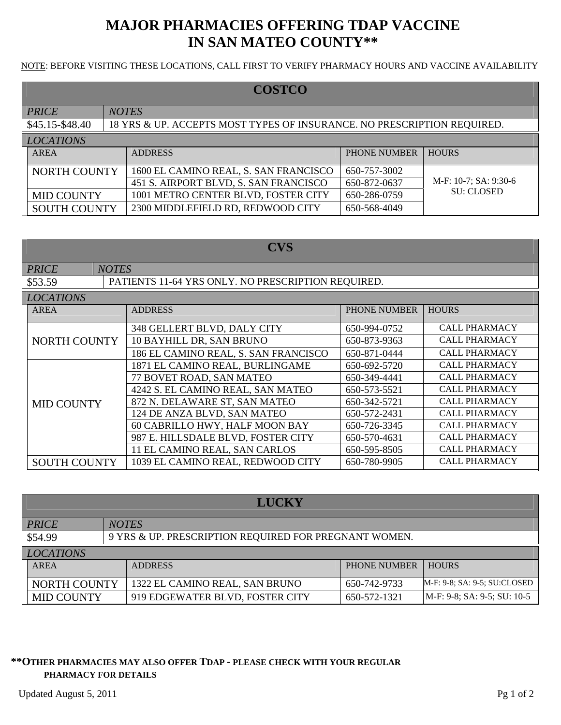# **MAJOR PHARMACIES OFFERING TDAP VACCINE IN SAN MATEO COUNTY\*\***

NOTE: BEFORE VISITING THESE LOCATIONS, CALL FIRST TO VERIFY PHARMACY HOURS AND VACCINE AVAILABILITY

| <b>COSTCO</b>       |                                                                         |                                       |              |                       |
|---------------------|-------------------------------------------------------------------------|---------------------------------------|--------------|-----------------------|
| <b>PRICE</b>        | <b>NOTES</b>                                                            |                                       |              |                       |
| \$45.15-\$48.40     | 18 YRS & UP. ACCEPTS MOST TYPES OF INSURANCE. NO PRESCRIPTION REQUIRED. |                                       |              |                       |
| <b>LOCATIONS</b>    |                                                                         |                                       |              |                       |
| AREA                |                                                                         | <b>ADDRESS</b>                        | PHONE NUMBER | <b>HOURS</b>          |
| <b>NORTH COUNTY</b> |                                                                         | 1600 EL CAMINO REAL, S. SAN FRANCISCO | 650-757-3002 |                       |
|                     |                                                                         | 451 S. AIRPORT BLVD, S. SAN FRANCISCO | 650-872-0637 | M-F: 10-7; SA: 9:30-6 |
| <b>MID COUNTY</b>   |                                                                         | 1001 METRO CENTER BLVD, FOSTER CITY   | 650-286-0759 | <b>SU: CLOSED</b>     |
| <b>SOUTH COUNTY</b> |                                                                         | 2300 MIDDLEFIELD RD, REDWOOD CITY     | 650-568-4049 |                       |

| <b>CVS</b>          |                                                    |                                      |                     |                      |
|---------------------|----------------------------------------------------|--------------------------------------|---------------------|----------------------|
| <b>PRICE</b>        | <b>NOTES</b>                                       |                                      |                     |                      |
| \$53.59             | PATIENTS 11-64 YRS ONLY. NO PRESCRIPTION REQUIRED. |                                      |                     |                      |
| <b>LOCATIONS</b>    |                                                    |                                      |                     |                      |
| <b>AREA</b>         |                                                    | <b>ADDRESS</b>                       | <b>PHONE NUMBER</b> | <b>HOURS</b>         |
|                     |                                                    | 348 GELLERT BLVD, DALY CITY          | 650-994-0752        | <b>CALL PHARMACY</b> |
| <b>NORTH COUNTY</b> |                                                    | 10 BAYHILL DR, SAN BRUNO             | 650-873-9363        | <b>CALL PHARMACY</b> |
|                     |                                                    | 186 EL CAMINO REAL, S. SAN FRANCISCO | 650-871-0444        | <b>CALL PHARMACY</b> |
|                     |                                                    | 1871 EL CAMINO REAL, BURLINGAME      | 650-692-5720        | <b>CALL PHARMACY</b> |
|                     |                                                    | 77 BOVET ROAD, SAN MATEO             | 650-349-4441        | <b>CALL PHARMACY</b> |
|                     |                                                    | 4242 S. EL CAMINO REAL, SAN MATEO    | 650-573-5521        | <b>CALL PHARMACY</b> |
| <b>MID COUNTY</b>   |                                                    | 872 N. DELAWARE ST, SAN MATEO        | 650-342-5721        | <b>CALL PHARMACY</b> |
|                     |                                                    | 124 DE ANZA BLVD, SAN MATEO          | 650-572-2431        | <b>CALL PHARMACY</b> |
|                     |                                                    | 60 CABRILLO HWY, HALF MOON BAY       | 650-726-3345        | <b>CALL PHARMACY</b> |
|                     |                                                    | 987 E. HILLSDALE BLVD, FOSTER CITY   | 650-570-4631        | <b>CALL PHARMACY</b> |
|                     |                                                    | 11 EL CAMINO REAL, SAN CARLOS        | 650-595-8505        | <b>CALL PHARMACY</b> |
| <b>SOUTH COUNTY</b> |                                                    | 1039 EL CAMINO REAL, REDWOOD CITY    | 650-780-9905        | <b>CALL PHARMACY</b> |

| <b>LUCKY</b>                                                  |              |                                                       |              |                              |
|---------------------------------------------------------------|--------------|-------------------------------------------------------|--------------|------------------------------|
| PRICE                                                         | <b>NOTES</b> |                                                       |              |                              |
| \$54.99                                                       |              | 9 YRS & UP. PRESCRIPTION REQUIRED FOR PREGNANT WOMEN. |              |                              |
| <b>LOCATIONS</b>                                              |              |                                                       |              |                              |
| <b>AREA</b><br>PHONE NUMBER<br><b>HOURS</b><br><b>ADDRESS</b> |              |                                                       |              |                              |
| NORTH COUNTY                                                  |              | 1322 EL CAMINO REAL, SAN BRUNO                        | 650-742-9733 | M-F: 9-8; SA: 9-5; SU:CLOSED |
| <b>MID COUNTY</b>                                             |              | 919 EDGEWATER BLVD, FOSTER CITY                       | 650-572-1321 | M-F: 9-8; SA: 9-5; SU: 10-5  |

### **\*\*OTHER PHARMACIES MAY ALSO OFFER TDAP - PLEASE CHECK WITH YOUR REGULAR PHARMACY FOR DETAILS**